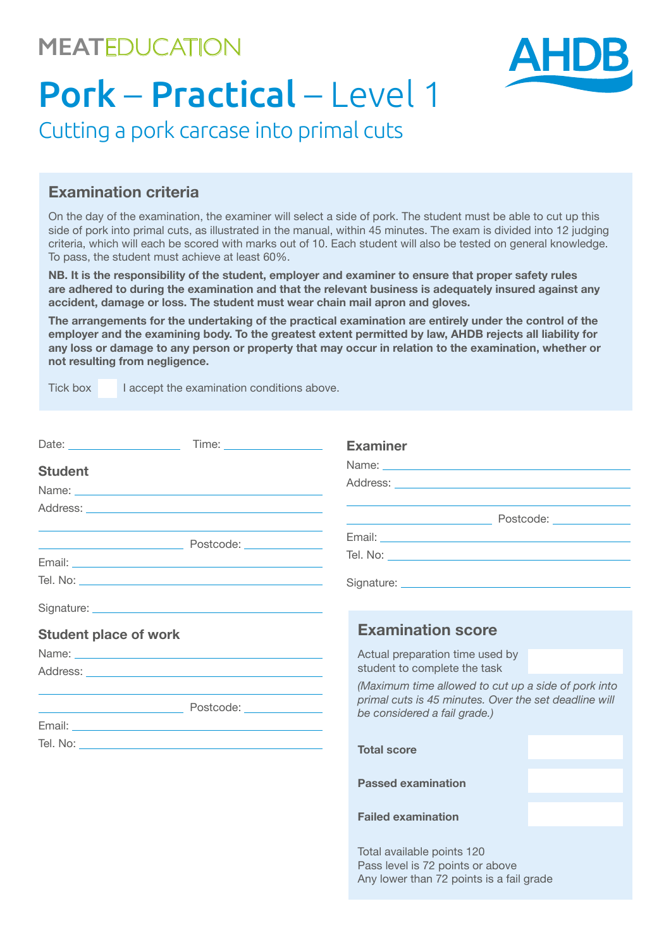## **MEAT**EDUCATION



# Pork – Practical – Level 1

Cutting a pork carcase into primal cuts

#### **Examination criteria**

On the day of the examination, the examiner will select a side of pork. The student must be able to cut up this side of pork into primal cuts, as illustrated in the manual, within 45 minutes. The exam is divided into 12 judging criteria, which will each be scored with marks out of 10. Each student will also be tested on general knowledge. To pass, the student must achieve at least 60%.

**NB. It is the responsibility of the student, employer and examiner to ensure that proper safety rules are adhered to during the examination and that the relevant business is adequately insured against any accident, damage or loss. The student must wear chain mail apron and gloves.**

**The arrangements for the undertaking of the practical examination are entirely under the control of the employer and the examining body. To the greatest extent permitted by law, AHDB rejects all liability for any loss or damage to any person or property that may occur in relation to the examination, whether or not resulting from negligence.**

Tick box I accept the examination conditions above.

|                              |                                                                                                                      | <b>Examiner</b>                                                                                                                                                                                                                |  |  |  |  |  |  |
|------------------------------|----------------------------------------------------------------------------------------------------------------------|--------------------------------------------------------------------------------------------------------------------------------------------------------------------------------------------------------------------------------|--|--|--|--|--|--|
| <b>Student</b>               |                                                                                                                      |                                                                                                                                                                                                                                |  |  |  |  |  |  |
|                              |                                                                                                                      |                                                                                                                                                                                                                                |  |  |  |  |  |  |
|                              |                                                                                                                      |                                                                                                                                                                                                                                |  |  |  |  |  |  |
|                              |                                                                                                                      |                                                                                                                                                                                                                                |  |  |  |  |  |  |
|                              |                                                                                                                      |                                                                                                                                                                                                                                |  |  |  |  |  |  |
|                              |                                                                                                                      |                                                                                                                                                                                                                                |  |  |  |  |  |  |
|                              |                                                                                                                      | Signature: the contract of the contract of the contract of the contract of the contract of the contract of the contract of the contract of the contract of the contract of the contract of the contract of the contract of the |  |  |  |  |  |  |
|                              |                                                                                                                      |                                                                                                                                                                                                                                |  |  |  |  |  |  |
| <b>Student place of work</b> |                                                                                                                      | <b>Examination score</b>                                                                                                                                                                                                       |  |  |  |  |  |  |
|                              |                                                                                                                      | Actual preparation time used by                                                                                                                                                                                                |  |  |  |  |  |  |
|                              |                                                                                                                      | student to complete the task                                                                                                                                                                                                   |  |  |  |  |  |  |
|                              | <u> Expansion de la proprieta de la proprieta de la proprieta de la proprieta de la proprieta de la proprieta de</u> | (Maximum time allowed to cut up a side of pork into<br>primal cuts is 45 minutes. Over the set deadline will<br>be considered a fail grade.)                                                                                   |  |  |  |  |  |  |
|                              |                                                                                                                      |                                                                                                                                                                                                                                |  |  |  |  |  |  |
|                              |                                                                                                                      | <b>Total score</b>                                                                                                                                                                                                             |  |  |  |  |  |  |
|                              |                                                                                                                      | <b>Passed examination</b>                                                                                                                                                                                                      |  |  |  |  |  |  |
|                              |                                                                                                                      | <b>Failed examination</b>                                                                                                                                                                                                      |  |  |  |  |  |  |
|                              |                                                                                                                      | Total available points 120<br>Pass level is 72 points or above<br>Any lower than 72 points is a fail grade                                                                                                                     |  |  |  |  |  |  |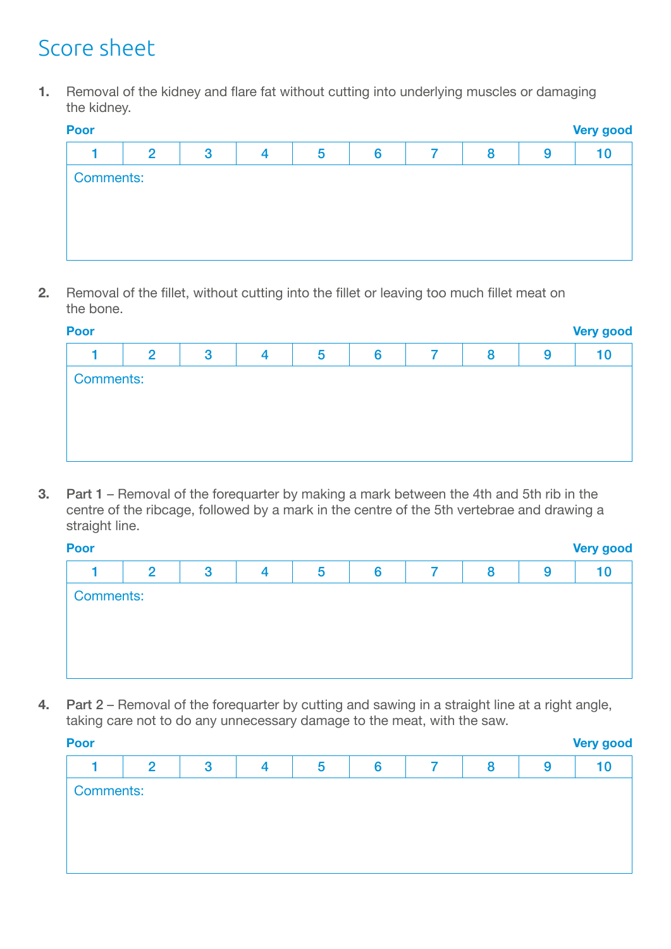# Score sheet

**1.** Removal of the kidney and flare fat without cutting into underlying muscles or damaging the kidney.

| <b>Poor</b>      | <b>Very good</b> |   |   |   |   |   |   |   |    |  |  |  |
|------------------|------------------|---|---|---|---|---|---|---|----|--|--|--|
|                  | $\overline{2}$   | 3 | 4 | 5 | 6 | 7 | 8 | 9 | 10 |  |  |  |
| <b>Comments:</b> |                  |   |   |   |   |   |   |   |    |  |  |  |
|                  |                  |   |   |   |   |   |   |   |    |  |  |  |
|                  |                  |   |   |   |   |   |   |   |    |  |  |  |
|                  |                  |   |   |   |   |   |   |   |    |  |  |  |
|                  |                  |   |   |   |   |   |   |   |    |  |  |  |

**2.** Removal of the fillet, without cutting into the fillet or leaving too much fillet meat on the bone.

| <b>Poor</b>      | <b>Very good</b> |   |   |   |   |  |   |   |    |  |  |  |
|------------------|------------------|---|---|---|---|--|---|---|----|--|--|--|
|                  | $\mathbf{2}$     | 3 | 4 | 5 | 6 |  | 8 | 9 | 10 |  |  |  |
| <b>Comments:</b> |                  |   |   |   |   |  |   |   |    |  |  |  |
|                  |                  |   |   |   |   |  |   |   |    |  |  |  |
|                  |                  |   |   |   |   |  |   |   |    |  |  |  |
|                  |                  |   |   |   |   |  |   |   |    |  |  |  |

**3.** Part 1 – Removal of the forequarter by making a mark between the 4th and 5th rib in the centre of the ribcage, followed by a mark in the centre of the 5th vertebrae and drawing a straight line.

| ٧<br>. . | v<br>- 1 | v<br>- 1<br>__ | Ξ<br>٠ |
|----------|----------|----------------|--------|
|          |          |                |        |

| Poor             | <b>Very good</b> |   |   |   |   |  |   |   |    |  |  |  |
|------------------|------------------|---|---|---|---|--|---|---|----|--|--|--|
|                  | $\overline{2}$   | 3 | 4 | 5 | 6 |  | 8 | 9 | 10 |  |  |  |
| <b>Comments:</b> |                  |   |   |   |   |  |   |   |    |  |  |  |

**4.** Part 2 – Removal of the forequarter by cutting and sawing in a straight line at a right angle, taking care not to do any unnecessary damage to the meat, with the saw.

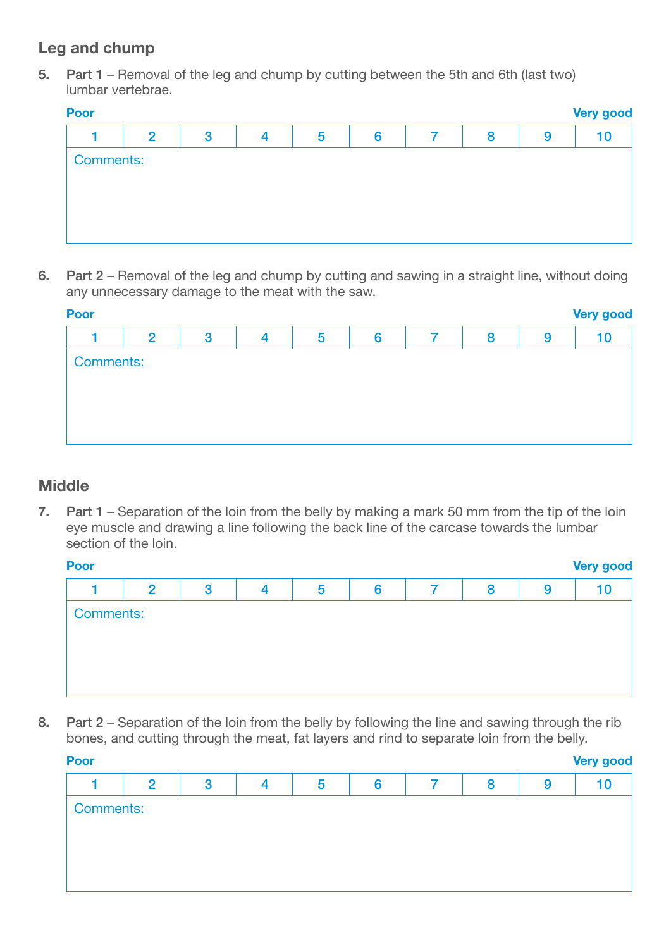### **Leg and chump**

**5.** Part 1 – Removal of the leg and chump by cutting between the 5th and 6th (last two) lumbar vertebrae.

|                  |   | Poor<br><b>Very good</b> |   |   |  |   |   |    |  |  |  |  |  |
|------------------|---|--------------------------|---|---|--|---|---|----|--|--|--|--|--|
| $\overline{2}$   | 3 | Δ                        | 5 | 6 |  | 8 | 9 | 10 |  |  |  |  |  |
| <b>Comments:</b> |   |                          |   |   |  |   |   |    |  |  |  |  |  |
|                  |   |                          |   |   |  |   |   |    |  |  |  |  |  |

**6.** Part 2 – Removal of the leg and chump by cutting and sawing in a straight line, without doing any unnecessary damage to the meat with the saw.

| <b>Poor</b>      | <b>Very good</b> |   |  |   |   |  |   |   |    |  |  |
|------------------|------------------|---|--|---|---|--|---|---|----|--|--|
|                  | $\mathbf{2}$     | 3 |  | 5 | 6 |  | 8 | 9 | 10 |  |  |
| <b>Comments:</b> |                  |   |  |   |   |  |   |   |    |  |  |
|                  |                  |   |  |   |   |  |   |   |    |  |  |
|                  |                  |   |  |   |   |  |   |   |    |  |  |
|                  |                  |   |  |   |   |  |   |   |    |  |  |
|                  |                  |   |  |   |   |  |   |   |    |  |  |

#### **Middle**

**7.** Part 1 – Separation of the loin from the belly by making a mark 50 mm from the tip of the loin eye muscle and drawing a line following the back line of the carcase towards the lumbar section of the loin.

| <b>Poor</b>      | <b>Very good</b> |              |   |   |   |                |   |   |    |  |  |  |
|------------------|------------------|--------------|---|---|---|----------------|---|---|----|--|--|--|
|                  | $\overline{2}$   | $\mathbf{3}$ | 4 | 5 | 6 | $\overline{7}$ | 8 | 9 | 10 |  |  |  |
| <b>Comments:</b> |                  |              |   |   |   |                |   |   |    |  |  |  |
|                  |                  |              |   |   |   |                |   |   |    |  |  |  |
|                  |                  |              |   |   |   |                |   |   |    |  |  |  |
|                  |                  |              |   |   |   |                |   |   |    |  |  |  |
|                  |                  |              |   |   |   |                |   |   |    |  |  |  |

**8.** Part 2 – Separation of the loin from the belly by following the line and sawing through the rib bones, and cutting through the meat, fat layers and rind to separate loin from the belly.

| <b>Poor</b><br><b>Very good</b> |                |   |   |   |   |  |   |   |    |  |
|---------------------------------|----------------|---|---|---|---|--|---|---|----|--|
|                                 | $\overline{2}$ | 3 | 4 | 5 | 6 |  | 8 | 9 | 10 |  |
| <b>Comments:</b>                |                |   |   |   |   |  |   |   |    |  |
|                                 |                |   |   |   |   |  |   |   |    |  |